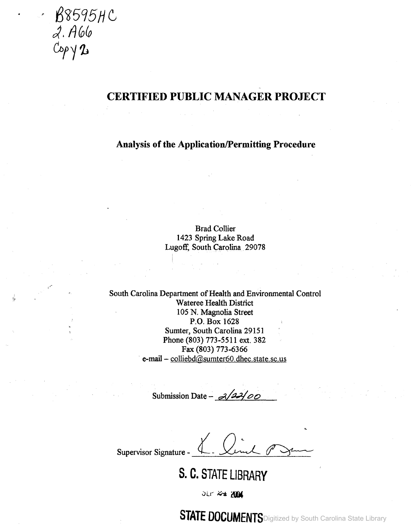B8595HC 2. A66 *Cbt11J*

# **CERTIFIED PUBLIC MANAGER PROJECT**

**Analysis of the Application/Permitting Procedure** 

Brad Collier 1423 Spring Lake Road Lugoff: South Carolina 29078

South Carolina Department of Health and Environmental Control Wateree Health District 105 N. Magnolia Street P.O. Box 1628 Sumter, South Carolina 29151 Phone (803) 773-5511 ext. 382 Fax (803) 773-6366 e-mail - colliebd@sumter60.dhec.state.sc.us

Submission Date - *3/22/00* 

Supervisor Signature

**S. C. STATE LIBRARY**

JET 2+ 2004

**SIAIE DUCUMENTS** Digitized by South Carolina State Library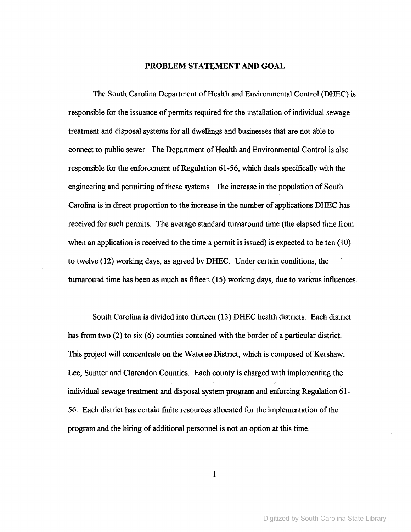#### **PROBLEM STATEMENT AND GOAL**

The South Carolina Department of Health and Environmental Control (DHEC) is responsible for the issuance of permits required for the installation of individual sewage treatment and disposal systems for all dwellings and businesses that are not able to connect to public sewer. The Department of Health and Environmental Control is also responsible for the enforcement of Regulation 61-56, which deals specifically with the engineering and permitting of these systems. The increase in the population of South Carolina is in direct proportion to the increase in the number of applications DHEC has received for such permits. The average standard turnaround time (the elapsed time from when an application is received to the time a permit is issued) is expected to be ten (10) to twelve (12) working days, as agreed by DHEC. Undercertain conditions, the turnaround time has been as much as fifteen (15) working days, due to various influences.

South Carolina is divided into thirteen (13) DHEC health districts. Each district has from two (2) to six (6) counties contained with the border of a particular district. This project will concentrate on the Wateree District, which is composed of Kershaw, Lee, Sumter and Clarendon Counties. Each county is charged with implementing the individual sewage treatment and disposal system program and enforcing Regulation 61- 56. Each district has certain finite resources allocated for the implementation of the program and the hiring of additional personnel is not an option at this time.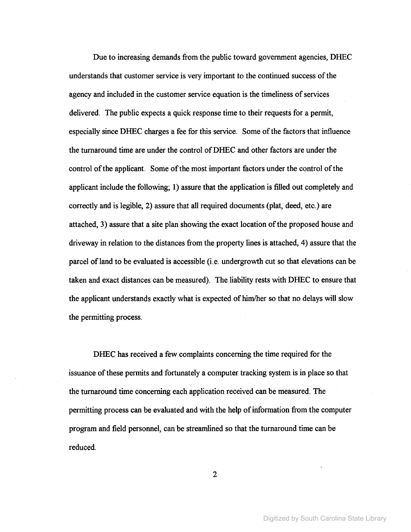Due to increasing demands from the public toward government agencies, DHEC understands that customer service is very important to the continued success of the agency and included in the customer service equation is the timeliness of services delivered. The public expects a quick response time to their requests for a permit, especially since DHEC charges a fee for this service. Some of the factors that influence the turnaround time are under the control ofDHEC and other factors are under the control of the applicant. Some of the most important factors under the control of the applicant include the following; 1) assure that the application is filled out completely and correctly and is legible, 2) assure that all required documents (plat, deed, etc.) are attached, 3) assure that a site plan showing the exact location of the proposed house and driveway in relation to the distances from the property lines is attached, 4) assure that the parcel of land to be evaluated is accessible (i.e. undergrowth cut so that elevations can be taken and exact distances can be measured). The liability rests with DHEC to ensure that the applicant understands exactly what is expected of him/her so that no delays will slow the permitting process.

DHEC has received a few complaints concerning the time required for the issuance of these permits and fortunately a computer tracking system is in place so that the turnaround time concerning each application received can be measured. The permitting process can be evaluated and with the help of information from the computer program and field personnel, can be streamlined so that the turnaround time can be reduced.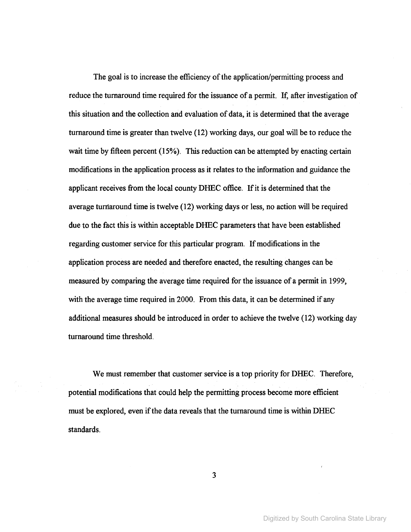The goal is to increase the efficiency of the application/permitting process and reduce the turnaround time required for the issuance of a permit. If, after investigation of this situation and the collection and evaluation of data, it is determined that the average turnaround time is greater than twelve (12) working days, our goal will be to reduce the wait time by fifteen percent (15%). This reduction can be attempted by enacting certain modifications in the application process as it relates to the information and guidance the applicant receives from the local county DHEC office. If it is determined that the average turnaround time is twelve  $(12)$  working days or less, no action will be required due to the fact this is within acceptable DHEC parameters that have been established regarding customer service for this particular program. If modifications in the application process are needed and therefore enacted, the resulting changes can be measured by comparing the average time required for the issuance of a permit in 1999, with the average time required in 2000. From this data, it can be determined if any additional measures should be introduced in order to achieve the twelve (12) working day turnaround time threshold.

We must remember that customer service is a top priority for DHEC. Therefore, potential modifications that could help the permitting process become more efficient must be explored, even if the data reveals that the turnaround time is within DHEC standards.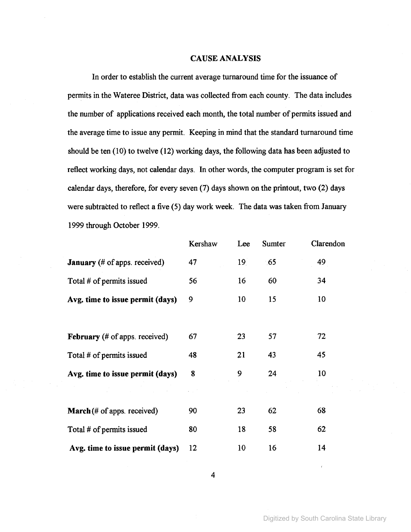## CAUSE ANALYSIS

In order to establish the current average turnaround time for the issuance of permits in the Wateree District, data was collected from each county. The data includes the number of applications received each month, the total number of permits issued and the average time to issue any permit. Keeping in mind that the standard turnaround time should be ten (10) to twelve (12) working days, the following data has been adjusted to reflect working days, not calendar days. In other words, the computer program is set for calendar days, therefore, for every seven (7) days shown on the printout, two (2) days were subtracted to reflect a five (5) day work week. The data was taken from January 1999 through October 1999.

|                                               | Kershaw | Lee             | Sumter | Clarendon |
|-----------------------------------------------|---------|-----------------|--------|-----------|
| <b>January</b> (# of apps. received)          | 47      | 19 <sub>1</sub> | 65     | 49        |
| Total # of permits issued                     | 56      | 16              | 60     | 34        |
| Avg. time to issue permit (days)              | 9       | 10              | 15     | 10        |
|                                               |         |                 |        |           |
| <b>February</b> (# of apps. received)         | 67      | 23              | 57     | 72        |
| Total # of permits issued                     | 48      | 21              | 43     | 45        |
| Avg. time to issue permit (days)              | 8       | 9               | 24     | 10        |
|                                               |         |                 |        |           |
| <b>March</b> $(\# \text{ of apps. received})$ | 90      | 23              | 62     | 68        |
| Total # of permits issued                     | 80      | 18              | 58     | 62        |
| Avg. time to issue permit (days)              | 12      | 10              | 16     | 14        |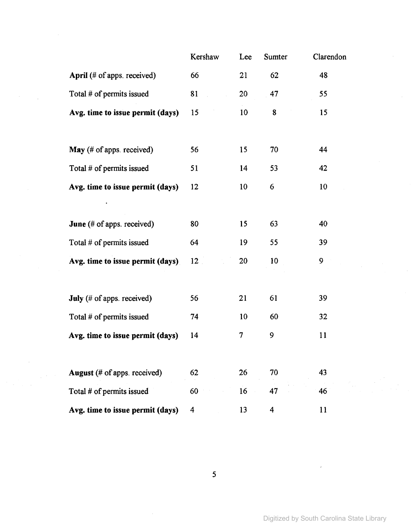|                                   | Kershaw | Lee | Sumter           | Clarendon |
|-----------------------------------|---------|-----|------------------|-----------|
| April (# of apps. received)       | 66      | 21  | 62               | 48        |
| Total # of permits issued         | 81      | 20  | 47               | 55        |
| Avg. time to issue permit (days)  | 15      | 10  | 8                | 15        |
|                                   |         |     |                  |           |
| May (# of apps. received)         | 56      | 15  | 70               | 44        |
| Total # of permits issued         | 51      | 14  | 53               | 42        |
| Avg. time to issue permit (days)  | 12      | 10  | 6                | 10        |
|                                   |         |     |                  |           |
| <b>June</b> (# of apps. received) | 80      | 15  | 63               | 40        |
| Total # of permits issued         | 64      | 19  | 55               | 39        |
| Avg. time to issue permit (days)  | 12      | 20  | 10 <sup>10</sup> | 9         |
|                                   |         |     |                  |           |
| July (# of apps. received)        | 56      | 21  | 61               | 39        |
| Total # of permits issued         | 74      | 10  | 60               | 32        |
| Avg. time to issue permit (days)  | 14      | 7   | 9                | 11        |
|                                   |         |     |                  |           |
| August (# of apps. received)      | 62      | 26  | 70               | 43        |
| Total # of permits issued         | 60      | 16  | 47               | 46        |
| Avg. time to issue permit (days)  | 4       | 13  | 4                | 11        |

 $\mathcal{F}^{\text{max}}_{\text{max}}$ 

 $\bar{t}$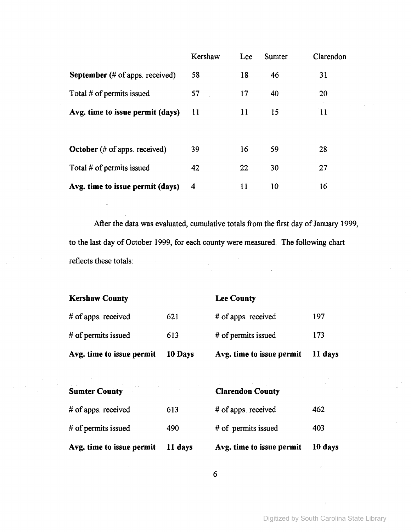|                                                    | Kershaw | Lee | <b>Sumter</b> | Clarendon |
|----------------------------------------------------|---------|-----|---------------|-----------|
| <b>September</b> (# of apps. received)             | 58      | 18  | 46            | 31        |
| Total # of permits issued                          | 57      | 17  | 40            | 20        |
| Avg. time to issue permit (days)                   | 11      | 11  | 15            | 11        |
|                                                    |         |     |               |           |
| October $(\# \text{ of } \text{ apps}$ . received) | 39      | 16  | 59            | 28        |
| Total $#$ of permits issued                        | 42      | 22  | 30            | 27        |
| Avg. time to issue permit (days)                   | 4       | 11  | 10            | 16        |

After the data was evaluated, cumulative totals from the first day of January 1999, to the last day of October 1999, for each county were measured. The following chart reflects these totals:

| Avg. time to issue permit | 10 Days | Avg. time to issue permit | 11 days |
|---------------------------|---------|---------------------------|---------|
| # of permits issued       | 613     | # of permits issued       | 173     |
| # of apps. received       | 621     | # of apps. received       | 197     |
| <b>Kershaw County</b>     |         | <b>Lee County</b>         |         |

| Avg. time to issue permit                           | 11 days | Avg. time to issue permit | 10 days |
|-----------------------------------------------------|---------|---------------------------|---------|
| # of permits issued                                 | 490     | # of permits issued       | 403     |
| # of apps. received                                 | 613     | # of apps. received       | 462     |
| <b>Sumter County</b><br>state of the control of the |         | <b>Clarendon County</b>   |         |

| <b>10 day</b> |
|---------------|
| 403           |
| 462           |
|               |

**Clarendon County**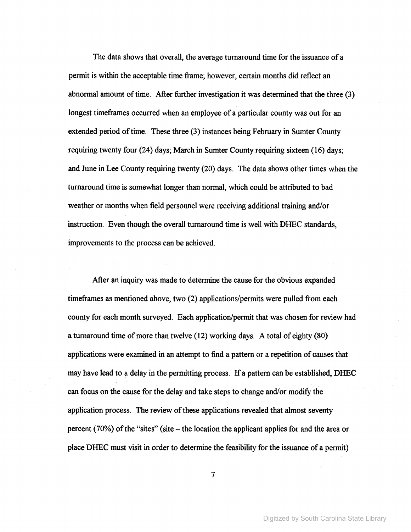The data shows that overall, the average turnaround time for the issuance of a permit is within the acceptable time frame; however, certain months did reflect an abnormal amount of time. After further investigation it was determined that the three (3) longest timeframes occurred when an employee of a particular county was out for an extended period of time. These three (3) instances being February in Sumter County requiring twenty four (24) days; March in Sumter County requiring sixteen (16) days; and June in Lee County requiring twenty (20) days. The data shows other times when the turnaround time is somewhat longer than normal, which could be attributed to bad weather or months when field personnel were receiving additional training and/or instruction. Even though the overall turnaround time is well with DHEC standards, improvements to the process can be achieved.

After an inquiry was made to determine the cause for the obvious expanded timeframes as mentioned above, two (2) applications/permits were pulled from each county for each month surveyed. Each application/permit that was chosen for review had a turnaround time of more than twelve  $(12)$  working days. A total of eighty  $(80)$ applications were examined in an attempt to find a pattern or a repetition of causes that may have lead to a delay in the permitting process. If a pattern can be established, DHEC can focus on the cause for the delay and take steps to change and/or modify the application process. The review of these applications revealed that almost seventy percent (70%) of the "sites" (site – the location the applicant applies for and the area or place DHEC must visit in order to determine the feasibility for the issuance of a permit)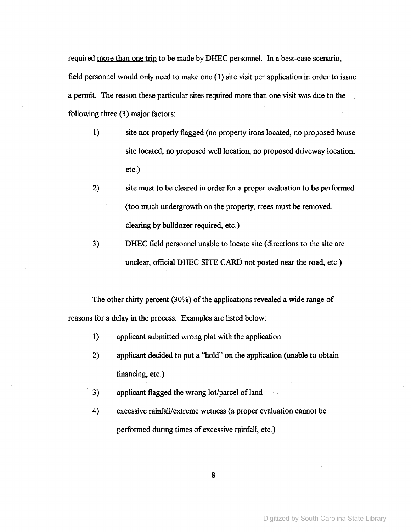required more than one trip to be made by DHEC personnel. In a best-case scenario, field personnel would only need to make one (1) site visit per application in order to issue a permit. The reason these particular sites required more than one visit was due to the following three (3) major factors:

- 1) site not properly flagged (no property irons located, no proposed house site located, no proposed well location, no proposed driveway location, etc.)
- 2) site must to be cleared in order for a proper evaluation to be performed (too much undergrowth on the property, trees must be removed, clearing by bulldozer required, etc.)
- 3) DHEC field personnel unable to locate site (directions to the site are unclear, official DHEC SITE CARD not posted near the road, etc.)

The other thirty percent (30%) of the applications revealed a wide range of reasons for a delay in the process. Examples are listed below:

- 1) applicant submitted wrong plat with the application
- 2) applicant decided to put a "hold" on the application (unable to obtain financing, etc.)
- 3) applicant flagged the wrong lot/parcel of land
- 4) excessive rainfalVextreme wetness (a proper evaluation cannot be performed during times of excessive rainfall, etc.)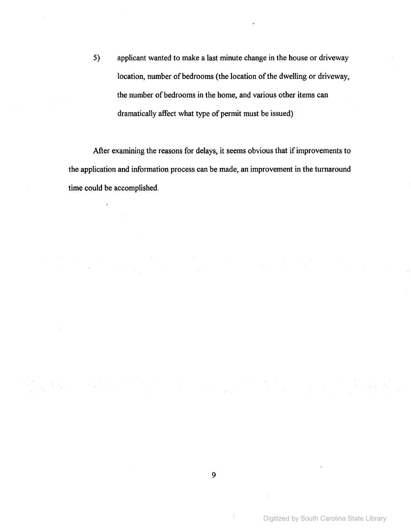5) applicant wanted to make a last minute change in the house or driveway location, number of bedrooms (the location of the dwelling or driveway, the number of bedrooms in the home, and various other items can dramatically affect what type of permit must be issued)

After examining the reasons for delays, it seems obvious that if improvements to the application and information process can be made, an improvement in the turnaround time could be accomplished.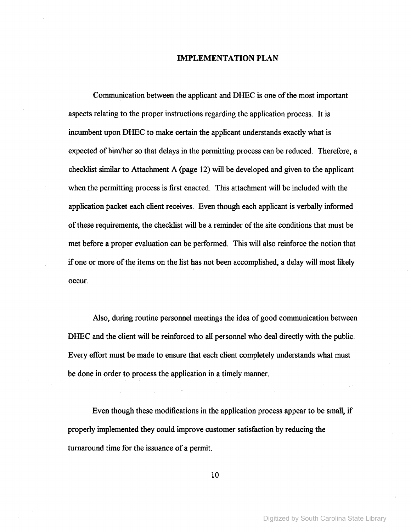#### **IMPLEMENTATION PLAN**

Communication between the applicant and DHEC is one ofthe most important aspects relating to the proper instructions regarding the application process. It is incumbent upon DHEC to make certain the applicant understands exactly what is expected of him/her so that delays in the permitting process can be reduced. Therefore, a checklist similar to Attachment A (page 12) will be developed and given to the applicant when the permitting process is first enacted. This attachment will be included with the application packet each client receives. Even though each applicant is verbally informed of these requirements, the checklist will be a reminder of the site conditions that must be met before a proper evaluation can be performed. This will also reinforce the notion that if one or more of the items on the list has not been accomplished, a delay will most likely occur.

Also, during routine personnel meetings the idea of good communication between DHEC and the client will be reinforced to all personnel who deal directly with the public. Every effort must be made to ensure that each client completely understands what must be done in order to process the application in a timely manner.

Even though these modifications in the application process appear to be small, if properly implemented they could improve customer satisfaction by reducing the turnaround time for the issuance of a permit.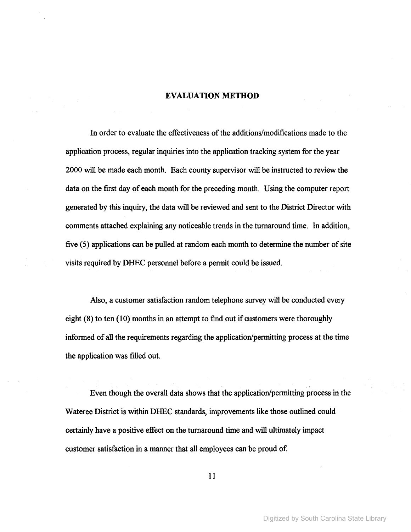## EVALUATION **METHOD**

In order to evaluate the effectiveness ofthe additions/modifications made to the application process, regular inquiries into the application tracking system for the year 2000 will be made each month. Each county supervisor will be instructed to review the data on the first day of each month for the preceding month. Using the computer report generated by this inquiry, the data will be reviewed and sent to the District Director with comments attached explaining any noticeable trends in the turnaround time. In addition, five (5) applications can be pulled at random each month to determine the number of site visits required by DHEC personnel before a permit could be issued.

Also, a customer satisfaction random telephone survey will be conducted every eight (8) to ten (10) months in an attempt to find out if customers were thoroughly informed of all the requirements regarding the application/permitting process at the time the application was filled out.

Even though the overall data shows that the application/permitting process in the Wateree District is within DHEC standards, improvements like those outlined could certainly have a positive effect on the turnaround time and will ultimately impact customer satisfaction in a manner that all employees can be proud of